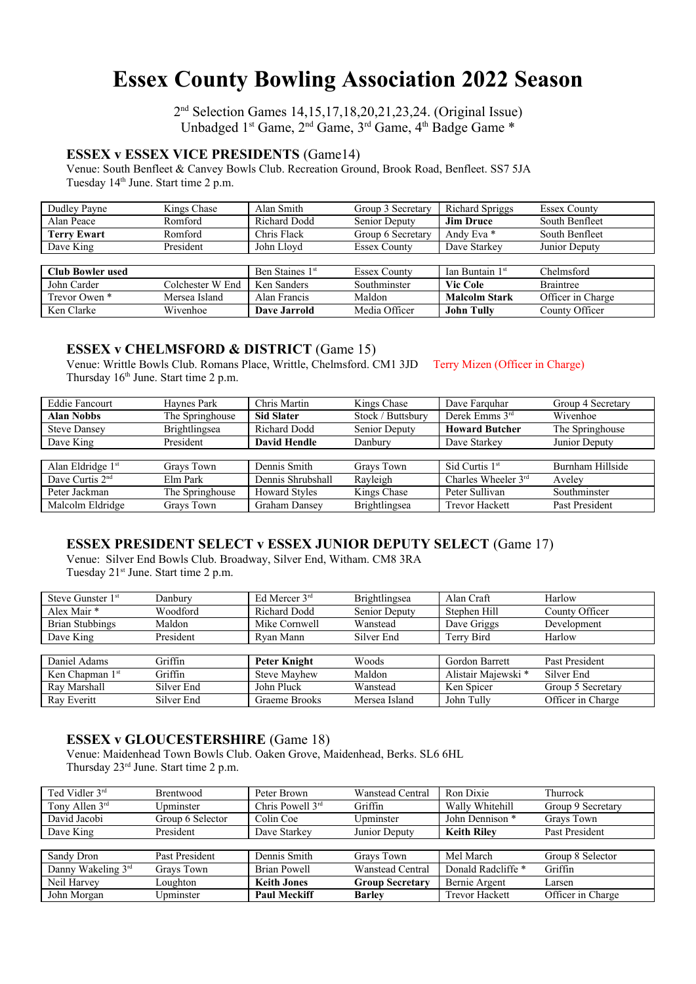# **Essex County Bowling Association 2022 Season**

2 nd Selection Games 14,15,17,18,20,21,23,24. (Original Issue) Unbadged 1<sup>st</sup> Game, 2<sup>nd</sup> Game, 3<sup>rd</sup> Game, 4<sup>th</sup> Badge Game \*

## **ESSEX v ESSEX VICE PRESIDENTS** (Game14)

Venue: South Benfleet & Canvey Bowls Club. Recreation Ground, Brook Road, Benfleet. SS7 5JA Tuesday 14<sup>th</sup> June. Start time 2 p.m.

| Dudley Payne            | Kings Chase      | Alan Smith                  | Group 3 Secretary   | <b>Richard Spriggs</b>      | <b>Essex County</b> |
|-------------------------|------------------|-----------------------------|---------------------|-----------------------------|---------------------|
| Alan Peace              | Romford          | <b>Richard Dodd</b>         | Senior Deputy       | <b>Jim Druce</b>            | South Benfleet      |
| <b>Terry Ewart</b>      | Romford          | Chris Flack                 | Group 6 Secretary   | Andy Eva *                  | South Benfleet      |
| Dave King               | President        | John Lloyd                  | <b>Essex County</b> | Dave Starkey                | Junior Deputy       |
|                         |                  |                             |                     |                             |                     |
| <b>Club Bowler used</b> |                  | Ben Staines 1 <sup>st</sup> | <b>Essex County</b> | Ian Buntain 1 <sup>st</sup> | Chelmsford          |
| John Carder             | Colchester W End | Ken Sanders                 | Southminster        | <b>Vic Cole</b>             | <b>Braintree</b>    |
| Trevor Owen *           | Mersea Island    | Alan Francis                | Maldon              | <b>Malcolm Stark</b>        | Officer in Charge   |
| Ken Clarke              | Wivenhoe         | Dave Jarrold                | Media Officer       | <b>John Tully</b>           | County Officer      |

#### **ESSEX v CHELMSFORD & DISTRICT** (Game 15)

Venue: Writtle Bowls Club. Romans Place, Writtle, Chelmsford. CM1 3JD Terry Mizen (Officer in Charge) Thursday  $16<sup>th</sup>$  June. Start time 2 p.m.

| <b>Eddie Fancourt</b>       | Haynes Park     | Chris Martin         | Kings Chase       | Dave Farquhar         | Group 4 Secretary |
|-----------------------------|-----------------|----------------------|-------------------|-----------------------|-------------------|
| <b>Alan Nobbs</b>           | The Springhouse | <b>Sid Slater</b>    | Stock / Buttsbury | Derek Emms $3rd$      | Wivenhoe          |
| <b>Steve Dansey</b>         | Brightlingsea   | <b>Richard Dodd</b>  | Senior Deputy     | <b>Howard Butcher</b> | The Springhouse   |
| Dave King                   | President       | <b>David Hendle</b>  | Danbury           | Dave Starkey          | Junior Deputy     |
|                             |                 |                      |                   |                       |                   |
| Alan Eldridge 1st           | Grays Town      | Dennis Smith         | Grays Town        | Sid Curtis $1st$      | Burnham Hillside  |
| Dave Curtis 2 <sup>nd</sup> | Elm Park        | Dennis Shrubshall    | Rayleigh          | Charles Wheeler $3rd$ | Avelev            |
| Peter Jackman               | The Springhouse | <b>Howard Styles</b> | Kings Chase       | Peter Sullivan        | Southminster      |
| Malcolm Eldridge            | Grays Town      | <b>Graham Dansey</b> | Brightlingsea     | <b>Trevor Hackett</b> | Past President    |

### **ESSEX PRESIDENT SELECT v ESSEX JUNIOR DEPUTY SELECT** (Game 17)

Venue: Silver End Bowls Club. Broadway, Silver End, Witham. CM8 3RA Tuesday 21<sup>st</sup> June. Start time 2 p.m.

| Steve Gunster $1st$    | Danbury    | Ed Mercer $3rd$     | Brightlingsea | Alan Craft          | Harlow            |
|------------------------|------------|---------------------|---------------|---------------------|-------------------|
| Alex Mair *            | Woodford   | <b>Richard Dodd</b> | Senior Deputy | Stephen Hill        | County Officer    |
| <b>Brian Stubbings</b> | Maldon     | Mike Cornwell       | Wanstead      | Dave Griggs         | Development       |
| Dave King              | President  | Rvan Mann           | Silver End    | Terry Bird          | Harlow            |
|                        |            |                     |               |                     |                   |
| Daniel Adams           | Griffin    | Peter Knight        | Woods         | Gordon Barrett      | Past President    |
| Ken Chapman $1st$      | Griffin    | <b>Steve Mayhew</b> | Maldon        | Alistair Majewski * | Silver End        |
| Ray Marshall           | Silver End | John Pluck          | Wanstead      | Ken Spicer          | Group 5 Secretary |
| Ray Everitt            | Silver End | Graeme Brooks       | Mersea Island | John Tully          | Officer in Charge |

### **ESSEX v GLOUCESTERSHIRE** (Game 18)

Venue: Maidenhead Town Bowls Club. Oaken Grove, Maidenhead, Berks. SL6 6HL Thursday 23rd June. Start time 2 p.m.

| Ted Vidler 3rd     | Brentwood        | Peter Brown         | <b>Wanstead Central</b> | Ron Dixie             | Thurrock          |
|--------------------|------------------|---------------------|-------------------------|-----------------------|-------------------|
| Tony Allen $3rd$   | Upminster        | Chris Powell $3rd$  | Griffin                 | Wally Whitehill       | Group 9 Secretary |
| David Jacobi       | Group 6 Selector | Colin Coe           | Upminster               | John Dennison *       | Grays Town        |
| Dave King          | President        | Dave Starkey        | Junior Deputy           | <b>Keith Riley</b>    | Past President    |
|                    |                  |                     |                         |                       |                   |
| Sandy Dron         | Past President   | Dennis Smith        | Grays Town              | Mel March             | Group 8 Selector  |
| Danny Wakeling 3rd | Grays Town       | <b>Brian Powell</b> | <b>Wanstead Central</b> | Donald Radcliffe *    | Griffin           |
| Neil Harvey        | Loughton         | <b>Keith Jones</b>  | <b>Group Secretary</b>  | Bernie Argent         | Larsen            |
| John Morgan        | Upminster        | <b>Paul Meckiff</b> | <b>Barley</b>           | <b>Trevor Hackett</b> | Officer in Charge |